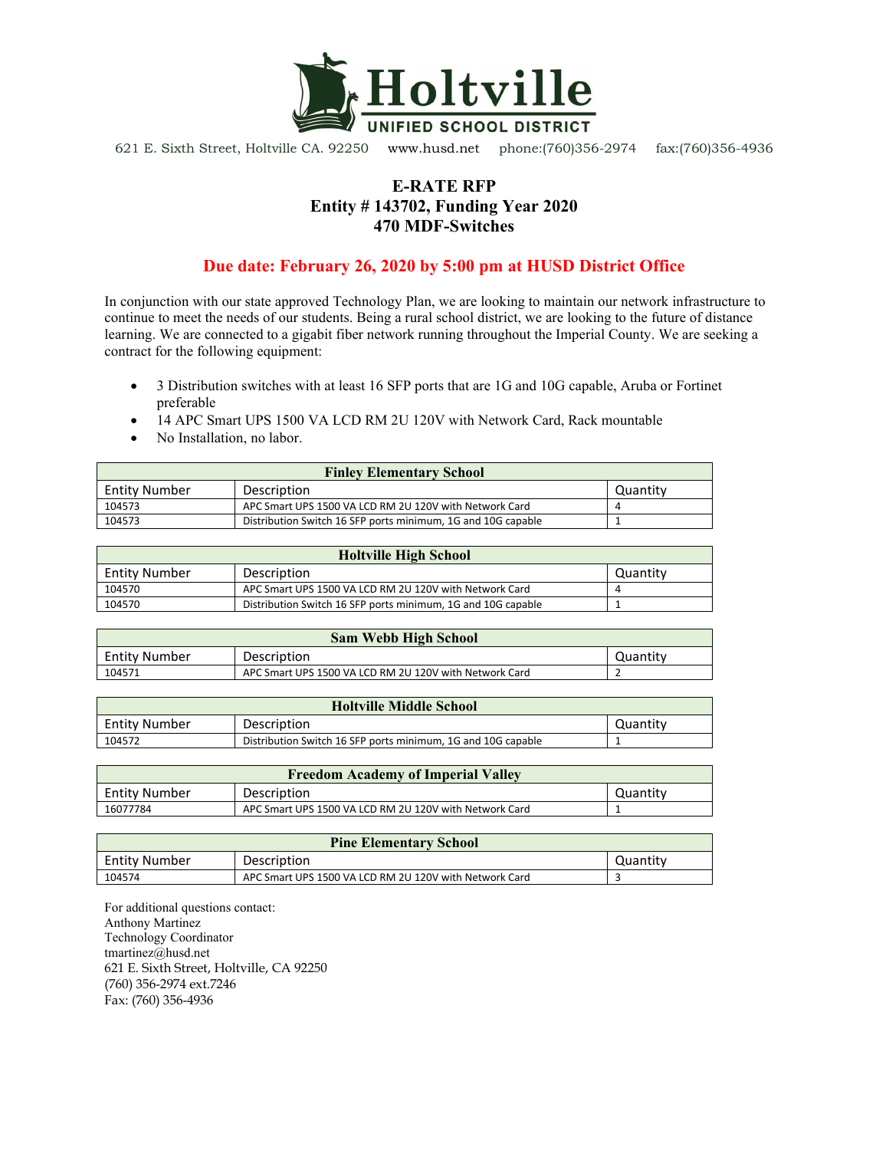

621 E. Sixth Street, Holtville CA. 92250 www.husd.net phone:(760)356-2974 fax:(760)356-4936

## **E-RATE RFP Entity # 143702, Funding Year 2020 470 MDF-Switches**

## **Due date: February 26, 2020 by 5:00 pm at HUSD District Office**

In conjunction with our state approved Technology Plan, we are looking to maintain our network infrastructure to continue to meet the needs of our students. Being a rural school district, we are looking to the future of distance learning. We are connected to a gigabit fiber network running throughout the Imperial County. We are seeking a contract for the following equipment:

- 3 Distribution switches with at least 16 SFP ports that are 1G and 10G capable, Aruba or Fortinet preferable
- 14 APC Smart UPS 1500 VA LCD RM 2U 120V with Network Card, Rack mountable
- No Installation, no labor.

| <b>Finley Elementary School</b> |                                                              |          |  |
|---------------------------------|--------------------------------------------------------------|----------|--|
| Entity Number                   | Description                                                  | Quantity |  |
| 104573                          | APC Smart UPS 1500 VA LCD RM 2U 120V with Network Card       |          |  |
| 104573                          | Distribution Switch 16 SFP ports minimum, 1G and 10G capable |          |  |

| <b>Holtville High School</b> |                                                              |          |  |
|------------------------------|--------------------------------------------------------------|----------|--|
| <b>Entity Number</b>         | Description                                                  | Quantity |  |
| 104570                       | APC Smart UPS 1500 VA LCD RM 2U 120V with Network Card       |          |  |
| 104570                       | Distribution Switch 16 SFP ports minimum, 1G and 10G capable |          |  |

| <b>Sam Webb High School</b> |                                                        |          |  |
|-----------------------------|--------------------------------------------------------|----------|--|
| <b>Entity Number</b>        | Description                                            | Quantitv |  |
| 104571                      | APC Smart UPS 1500 VA LCD RM 2U 120V with Network Card |          |  |

| <b>Holtville Middle School</b> |                                                              |          |  |
|--------------------------------|--------------------------------------------------------------|----------|--|
| <b>Entity Number</b>           | Description                                                  | Quantity |  |
| 104572                         | Distribution Switch 16 SFP ports minimum, 1G and 10G capable |          |  |

| <b>Freedom Academy of Imperial Valley</b> |                                                        |          |  |
|-------------------------------------------|--------------------------------------------------------|----------|--|
| <b>Entity Number</b>                      | Description                                            | Quantitv |  |
| 16077784                                  | APC Smart UPS 1500 VA LCD RM 2U 120V with Network Card |          |  |

| <b>Pine Elementary School</b> |                                                        |          |  |
|-------------------------------|--------------------------------------------------------|----------|--|
| <b>Entity Number</b>          | Description                                            | Quantity |  |
| 104574                        | APC Smart UPS 1500 VA LCD RM 2U 120V with Network Card |          |  |

For additional questions contact: Anthony Martinez Technology Coordinator tmartinez@husd.net 621 E. Sixth Street, Holtville, CA 92250 (760) 356-2974 ext.7246 Fax: (760) 356-4936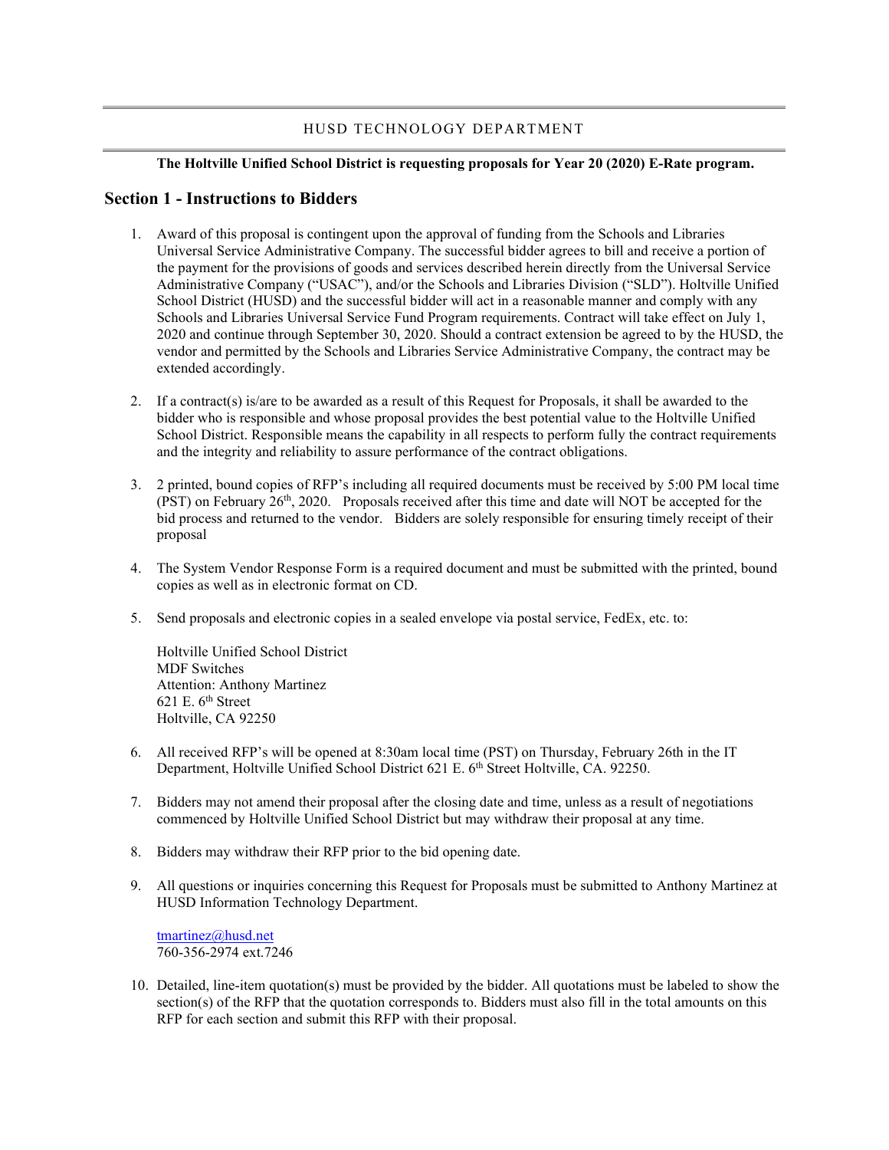#### HUSD TECHNOLOGY DEPARTMENT

#### **The Holtville Unified School District is requesting proposals for Year 20 (2020) E-Rate program.**

#### **Section 1 - Instructions to Bidders**

- 1. Award of this proposal is contingent upon the approval of funding from the Schools and Libraries Universal Service Administrative Company. The successful bidder agrees to bill and receive a portion of the payment for the provisions of goods and services described herein directly from the Universal Service Administrative Company ("USAC"), and/or the Schools and Libraries Division ("SLD"). Holtville Unified School District (HUSD) and the successful bidder will act in a reasonable manner and comply with any Schools and Libraries Universal Service Fund Program requirements. Contract will take effect on July 1, 2020 and continue through September 30, 2020. Should a contract extension be agreed to by the HUSD, the vendor and permitted by the Schools and Libraries Service Administrative Company, the contract may be extended accordingly.
- 2. If a contract(s) is/are to be awarded as a result of this Request for Proposals, it shall be awarded to the bidder who is responsible and whose proposal provides the best potential value to the Holtville Unified School District. Responsible means the capability in all respects to perform fully the contract requirements and the integrity and reliability to assure performance of the contract obligations.
- 3. 2 printed, bound copies of RFP's including all required documents must be received by 5:00 PM local time  $(PST)$  on February 26<sup>th</sup>, 2020. Proposals received after this time and date will NOT be accepted for the bid process and returned to the vendor. Bidders are solely responsible for ensuring timely receipt of their proposal
- 4. The System Vendor Response Form is a required document and must be submitted with the printed, bound copies as well as in electronic format on CD.
- 5. Send proposals and electronic copies in a sealed envelope via postal service, FedEx, etc. to:

Holtville Unified School District MDF Switches Attention: Anthony Martinez 621 E.  $6<sup>th</sup>$  Street Holtville, CA 92250

- 6. All received RFP's will be opened at 8:30am local time (PST) on Thursday, February 26th in the IT Department, Holtville Unified School District 621 E. 6<sup>th</sup> Street Holtville, CA. 92250.
- 7. Bidders may not amend their proposal after the closing date and time, unless as a result of negotiations commenced by Holtville Unified School District but may withdraw their proposal at any time.
- 8. Bidders may withdraw their RFP prior to the bid opening date.
- 9. All questions or inquiries concerning this Request for Proposals must be submitted to Anthony Martinez at HUSD Information Technology Department.

[tmartinez@husd.net](mailto:tmartinez@husd.net) 760-356-2974 ext.7246

10. Detailed, line-item quotation(s) must be provided by the bidder. All quotations must be labeled to show the section(s) of the RFP that the quotation corresponds to. Bidders must also fill in the total amounts on this RFP for each section and submit this RFP with their proposal.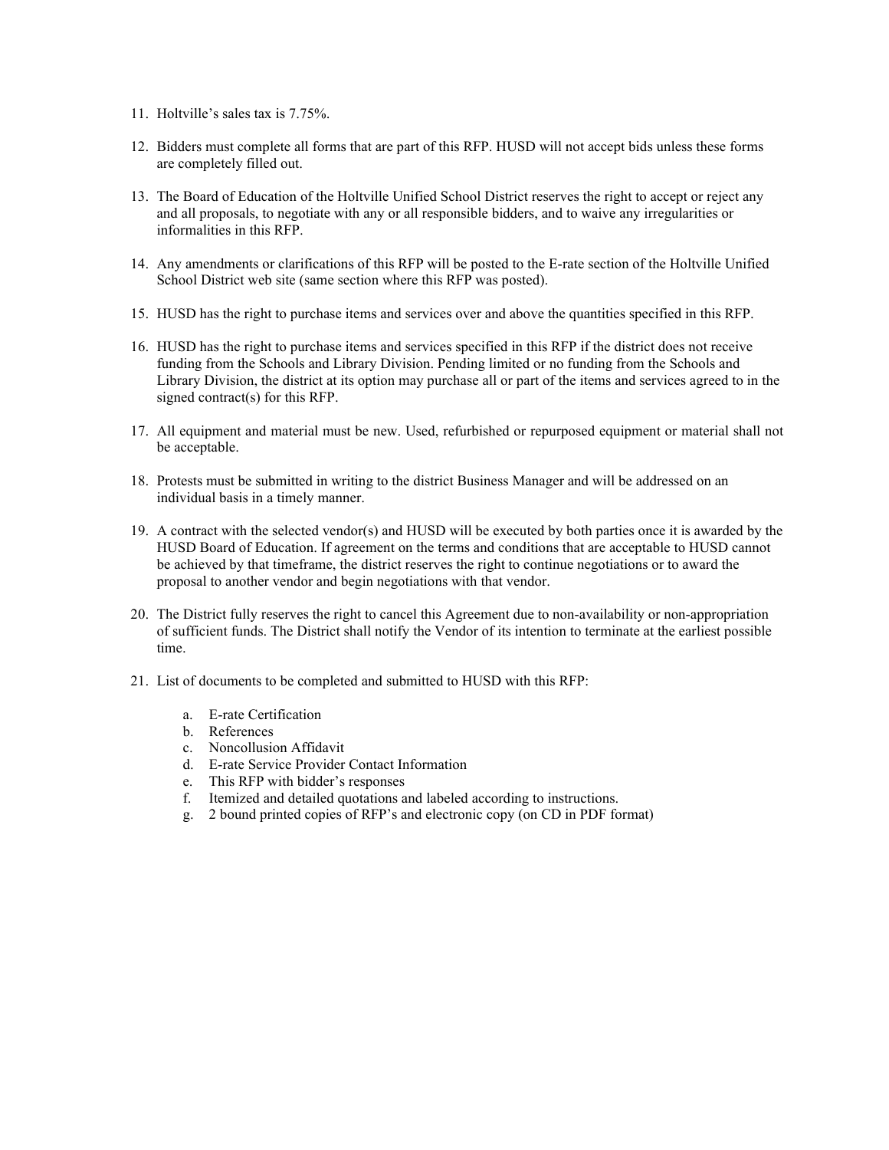- 11. Holtville's sales tax is 7.75%.
- 12. Bidders must complete all forms that are part of this RFP. HUSD will not accept bids unless these forms are completely filled out.
- 13. The Board of Education of the Holtville Unified School District reserves the right to accept or reject any and all proposals, to negotiate with any or all responsible bidders, and to waive any irregularities or informalities in this RFP.
- 14. Any amendments or clarifications of this RFP will be posted to the E-rate section of the Holtville Unified School District web site (same section where this RFP was posted).
- 15. HUSD has the right to purchase items and services over and above the quantities specified in this RFP.
- 16. HUSD has the right to purchase items and services specified in this RFP if the district does not receive funding from the Schools and Library Division. Pending limited or no funding from the Schools and Library Division, the district at its option may purchase all or part of the items and services agreed to in the signed contract(s) for this RFP.
- 17. All equipment and material must be new. Used, refurbished or repurposed equipment or material shall not be acceptable.
- 18. Protests must be submitted in writing to the district Business Manager and will be addressed on an individual basis in a timely manner.
- 19. A contract with the selected vendor(s) and HUSD will be executed by both parties once it is awarded by the HUSD Board of Education. If agreement on the terms and conditions that are acceptable to HUSD cannot be achieved by that timeframe, the district reserves the right to continue negotiations or to award the proposal to another vendor and begin negotiations with that vendor.
- 20. The District fully reserves the right to cancel this Agreement due to non-availability or non-appropriation of sufficient funds. The District shall notify the Vendor of its intention to terminate at the earliest possible time.
- 21. List of documents to be completed and submitted to HUSD with this RFP:
	- a. E-rate Certification
	- b. References
	- c. Noncollusion Affidavit
	- d. E-rate Service Provider Contact Information
	- e. This RFP with bidder's responses
	- f. Itemized and detailed quotations and labeled according to instructions.
	- g. 2 bound printed copies of RFP's and electronic copy (on CD in PDF format)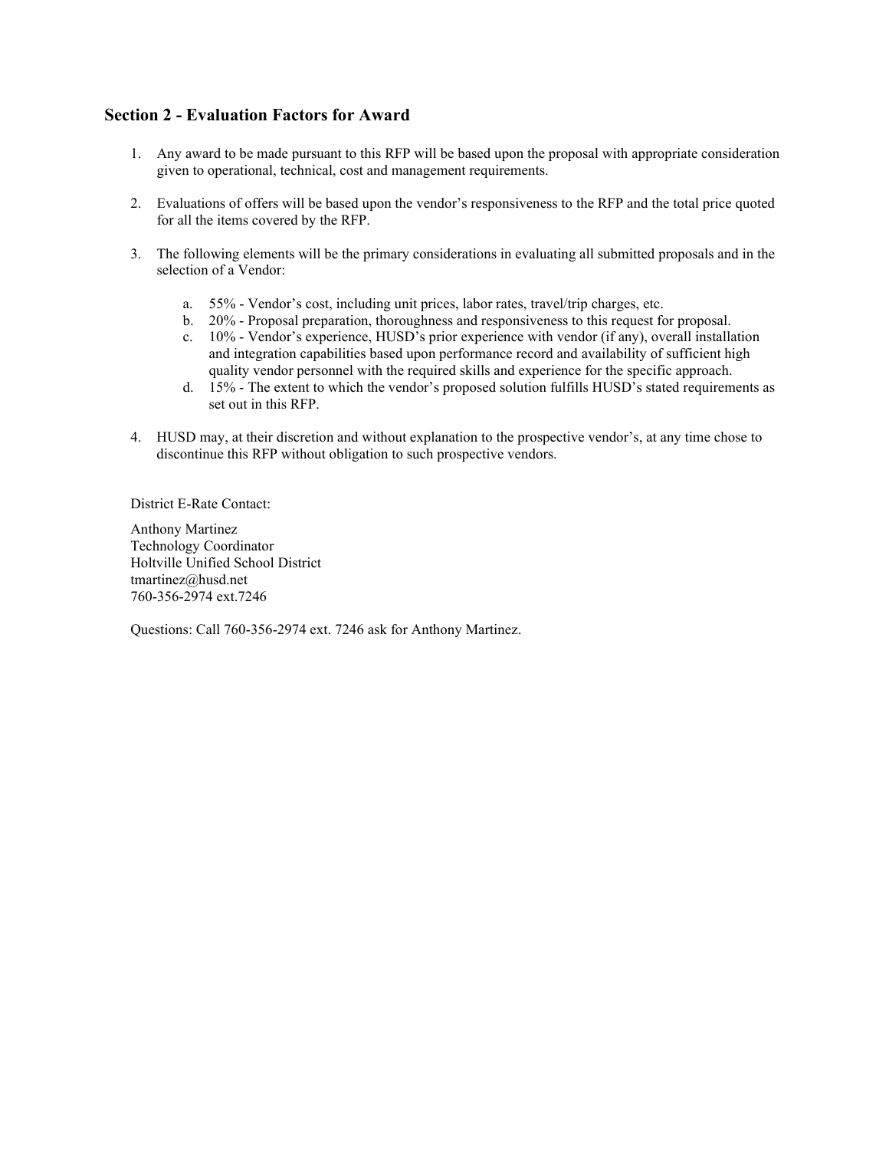## **Section 2 - Evaluation Factors for Award**

- 1. Any award to be made pursuant to this RFP will be based upon the proposal with appropriate consideration given to operational, technical, cost and management requirements.
- 2. Evaluations of offers will be based upon the vendor's responsiveness to the RFP and the total price quoted for all the items covered by the RFP.
- 3. The following elements will be the primary considerations in evaluating all submitted proposals and in the selection of a Vendor:
	- a. 55% Vendor's cost, including unit prices, labor rates, travel/trip charges, etc.
	- b. 20% Proposal preparation, thoroughness and responsiveness to this request for proposal.
	- c. 10% Vendor's experience, HUSD's prior experience with vendor (if any), overall installation and integration capabilities based upon performance record and availability of sufficient high quality vendor personnel with the required skills and experience for the specific approach.
	- d. 15% The extent to which the vendor's proposed solution fulfills HUSD's stated requirements as set out in this RFP.
- 4. HUSD may, at their discretion and without explanation to the prospective vendor's, at any time chose to discontinue this RFP without obligation to such prospective vendors.

District E-Rate Contact:

Anthony Martinez Technology Coordinator Holtville Unified School District tmartinez@husd.net 760-356-2974 ext.7246

Questions: Call 760-356-2974 ext. 7246 ask for Anthony Martinez.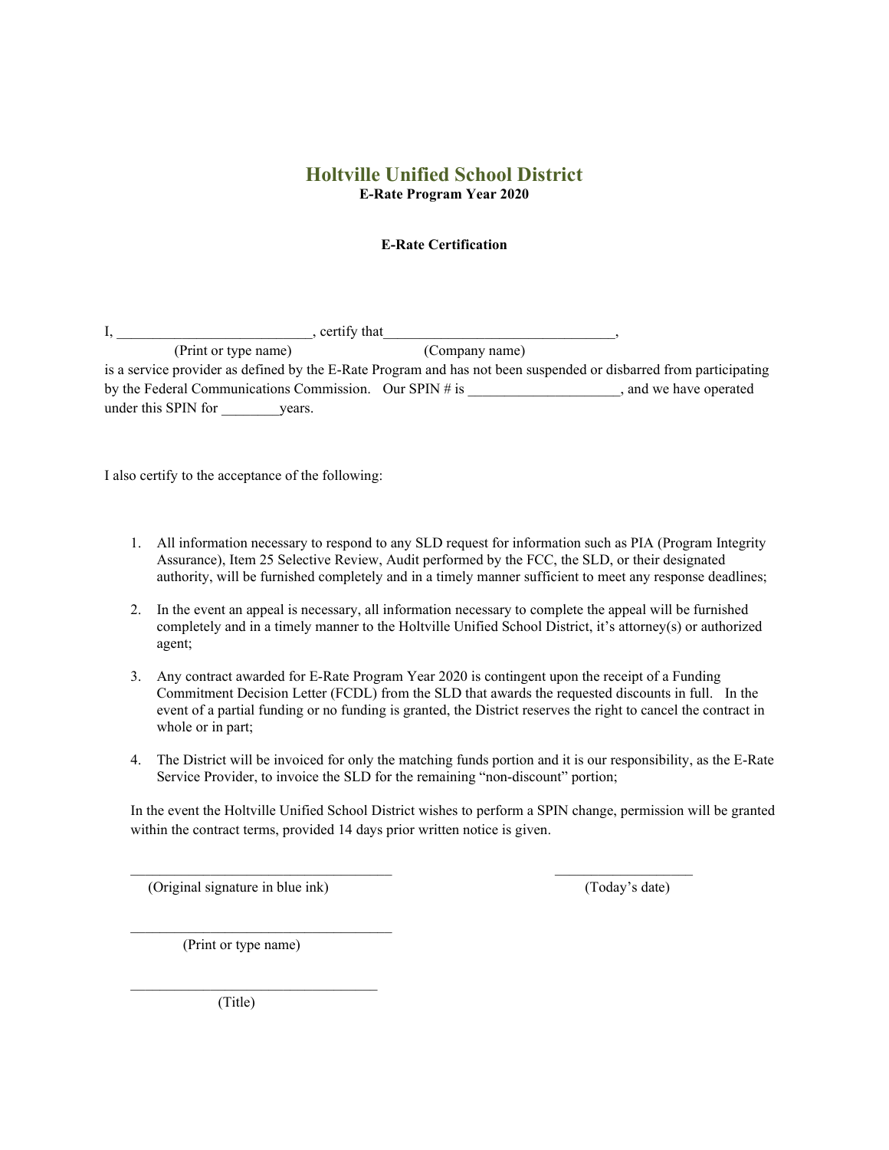## **Holtville Unified School District E-Rate Program Year 2020**

#### **E-Rate Certification**

|                     | certify that                                               |                                                                                                                   |
|---------------------|------------------------------------------------------------|-------------------------------------------------------------------------------------------------------------------|
|                     | (Print or type name)                                       | (Company name)                                                                                                    |
|                     |                                                            | is a service provider as defined by the E-Rate Program and has not been suspended or disbarred from participating |
|                     | by the Federal Communications Commission. Our SPIN $\#$ is | and we have operated                                                                                              |
| under this SPIN for | vears.                                                     |                                                                                                                   |

I also certify to the acceptance of the following:

- 1. All information necessary to respond to any SLD request for information such as PIA (Program Integrity Assurance), Item 25 Selective Review, Audit performed by the FCC, the SLD, or their designated authority, will be furnished completely and in a timely manner sufficient to meet any response deadlines;
- 2. In the event an appeal is necessary, all information necessary to complete the appeal will be furnished completely and in a timely manner to the Holtville Unified School District, it's attorney(s) or authorized agent;
- 3. Any contract awarded for E-Rate Program Year 2020 is contingent upon the receipt of a Funding Commitment Decision Letter (FCDL) from the SLD that awards the requested discounts in full. In the event of a partial funding or no funding is granted, the District reserves the right to cancel the contract in whole or in part;
- 4. The District will be invoiced for only the matching funds portion and it is our responsibility, as the E-Rate Service Provider, to invoice the SLD for the remaining "non-discount" portion;

In the event the Holtville Unified School District wishes to perform a SPIN change, permission will be granted within the contract terms, provided 14 days prior written notice is given.

 $\mathcal{L}_\text{max}$  , and the set of the set of the set of the set of the set of the set of the set of the set of the set of

(Original signature in blue ink) (Today's date)

(Print or type name)

 $\mathcal{L}=\mathcal{L}=\mathcal{L}=\mathcal{L}=\mathcal{L}=\mathcal{L}=\mathcal{L}=\mathcal{L}=\mathcal{L}=\mathcal{L}=\mathcal{L}=\mathcal{L}=\mathcal{L}=\mathcal{L}=\mathcal{L}=\mathcal{L}=\mathcal{L}=\mathcal{L}=\mathcal{L}=\mathcal{L}=\mathcal{L}=\mathcal{L}=\mathcal{L}=\mathcal{L}=\mathcal{L}=\mathcal{L}=\mathcal{L}=\mathcal{L}=\mathcal{L}=\mathcal{L}=\mathcal{L}=\mathcal{L}=\mathcal{L}=\mathcal{L}=\mathcal{L}=\mathcal{L}=\mathcal{$ 

\_\_\_\_\_\_\_\_\_\_\_\_\_\_\_\_\_\_\_\_\_\_\_\_\_\_\_\_\_\_\_\_\_\_

(Title)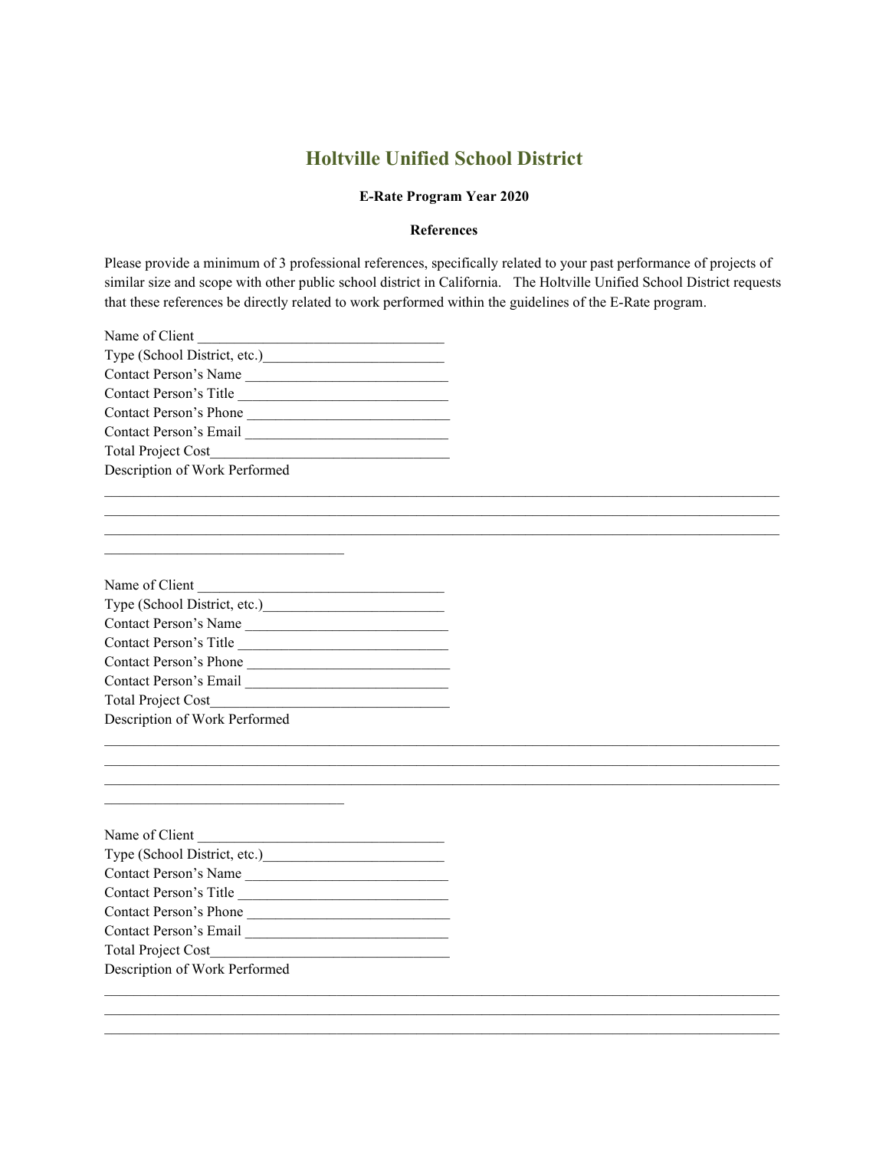## **Holtville Unified School District**

#### **E-Rate Program Year 2020**

#### **References**

Please provide a minimum of 3 professional references, specifically related to your past performance of projects of similar size and scope with other public school district in California. The Holtville Unified School District requests that these references be directly related to work performed within the guidelines of the E-Rate program.

\_\_\_\_\_\_\_\_\_\_\_\_\_\_\_\_\_\_\_\_\_\_\_\_\_\_\_\_\_\_\_\_\_\_\_\_\_\_\_\_\_\_\_\_\_\_\_\_\_\_\_\_\_\_\_\_\_\_\_\_\_\_\_\_\_\_\_\_\_\_\_\_\_\_\_\_\_\_\_\_\_\_\_\_\_\_\_\_\_\_\_\_\_

 $\_$  ,  $\_$  ,  $\_$  ,  $\_$  ,  $\_$  ,  $\_$  ,  $\_$  ,  $\_$  ,  $\_$  ,  $\_$  ,  $\_$  ,  $\_$  ,  $\_$  ,  $\_$  ,  $\_$  ,  $\_$  ,  $\_$  ,  $\_$  ,  $\_$  ,  $\_$  ,  $\_$  ,  $\_$  ,  $\_$  ,  $\_$  ,  $\_$  ,  $\_$  ,  $\_$  ,  $\_$  ,  $\_$  ,  $\_$  ,  $\_$  ,  $\_$  ,  $\_$  ,  $\_$  ,  $\_$  ,  $\_$  ,  $\_$  ,  $\_$  ,  $\_$  ,  $\_$  ,  $\_$  ,  $\_$  ,  $\_$  ,  $\_$  ,  $\_$  ,  $\_$  ,  $\_$  ,  $\_$  ,  $\_$  ,  $\_$  ,  $\_$  ,  $\_$  ,  $\_$  ,  $\_$  ,  $\_$  ,  $\_$  ,  $\_$  ,  $\_$  ,  $\_$  ,  $\_$  ,  $\_$  ,  $\_$  ,  $\_$  ,  $\_$  ,  $\_$  ,  $\_$  ,  $\_$  ,  $\_$  ,  $\_$  ,  $\_$  ,  $\_$  ,  $\_$  ,  $\_$  ,  $\_$  ,

 $\_$  ,  $\_$  ,  $\_$  ,  $\_$  ,  $\_$  ,  $\_$  ,  $\_$  ,  $\_$  ,  $\_$  ,  $\_$  ,  $\_$  ,  $\_$  ,  $\_$  ,  $\_$  ,  $\_$  ,  $\_$  ,  $\_$  ,  $\_$  ,  $\_$  ,  $\_$  ,  $\_$  ,  $\_$  ,  $\_$  ,  $\_$  ,  $\_$  ,  $\_$  ,  $\_$  ,  $\_$  ,  $\_$  ,  $\_$  ,  $\_$  ,  $\_$  ,  $\_$  ,  $\_$  ,  $\_$  ,  $\_$  ,  $\_$  ,  $\_$  ,  $\_$  ,  $\_$  ,  $\_$  ,  $\_$  ,  $\_$  ,  $\_$  ,  $\_$  ,  $\_$  ,  $\_$  ,  $\_$  ,  $\_$  ,  $\_$  ,  $\_$  ,  $\_$  ,  $\_$  ,  $\_$  ,  $\_$  ,  $\_$  ,  $\_$  ,  $\_$  ,  $\_$  ,  $\_$  ,  $\_$  ,  $\_$  ,  $\_$  ,  $\_$  ,  $\_$  ,  $\_$  ,  $\_$  ,  $\_$  ,  $\_$  ,  $\_$  ,  $\_$  ,  $\_$  ,  $\_$  ,  $\_$  ,

| Name of Client                |
|-------------------------------|
| Type (School District, etc.)  |
| Contact Person's Name         |
| Contact Person's Title        |
| Contact Person's Phone        |
| Contact Person's Email        |
| <b>Total Project Cost</b>     |
| Description of Work Performed |
|                               |

| Name of Client                |  |
|-------------------------------|--|
| Type (School District, etc.)  |  |
| Contact Person's Name         |  |
| Contact Person's Title        |  |
| Contact Person's Phone        |  |
| Contact Person's Email        |  |
| <b>Total Project Cost</b>     |  |
| Description of Work Performed |  |

\_\_\_\_\_\_\_\_\_\_\_\_\_\_\_\_\_\_\_\_\_\_\_\_\_\_\_\_\_\_\_\_\_

\_\_\_\_\_\_\_\_\_\_\_\_\_\_\_\_\_\_\_\_\_\_\_\_\_\_\_\_\_\_\_\_\_

| Name of Client                |
|-------------------------------|
|                               |
| <b>Contact Person's Name</b>  |
| Contact Person's Title        |
| Contact Person's Phone        |
| Contact Person's Email        |
| <b>Total Project Cost</b>     |
| Description of Work Performed |
|                               |